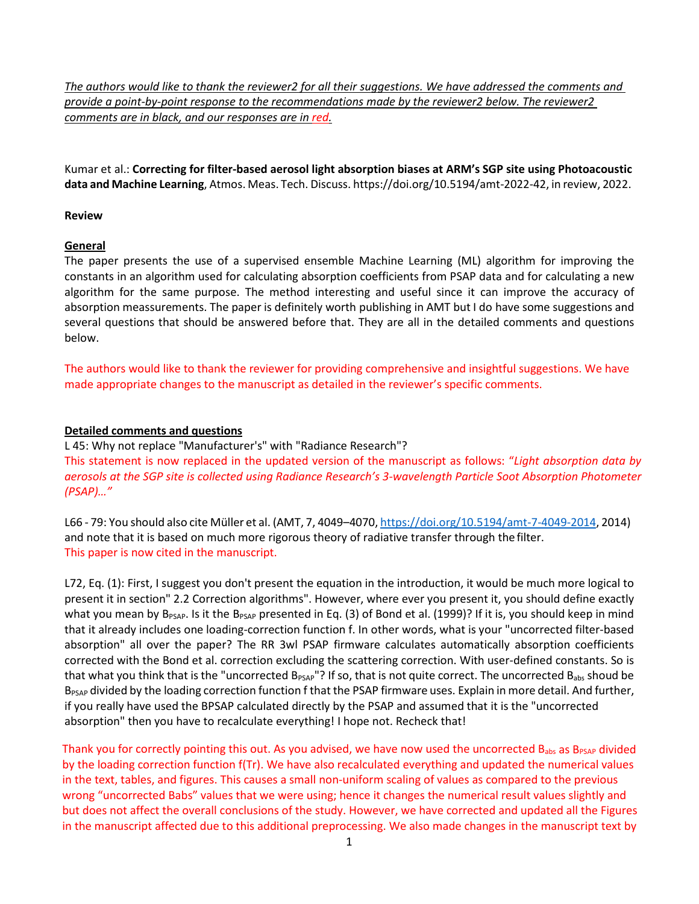*The authors would like to thank the reviewer2 for all their suggestions. We have addressed the comments and provide a point-by-point response to the recommendations made by the reviewer2 below. The reviewer2 comments are in black, and our responses are in red.*

Kumar et al.: **Correcting for filter-based aerosol light absorption biases at ARM's SGP site using Photoacoustic data and Machine Learning**, Atmos. Meas. Tech. Discuss. https://doi.org/10.5194/amt-2022-42, in review, 2022.

## **Review**

## **General**

The paper presents the use of a supervised ensemble Machine Learning (ML) algorithm for improving the constants in an algorithm used for calculating absorption coefficients from PSAP data and for calculating a new algorithm for the same purpose. The method interesting and useful since it can improve the accuracy of absorption meassurements. The paper is definitely worth publishing in AMT but I do have some suggestions and several questions that should be answered before that. They are all in the detailed comments and questions below.

The authors would like to thank the reviewer for providing comprehensive and insightful suggestions. We have made appropriate changes to the manuscript as detailed in the reviewer's specific comments.

## **Detailed comments and questions**

L 45: Why not replace "Manufacturer's" with "Radiance Research"? This statement is now replaced in the updated version of the manuscript as follows: "*Light absorption data by aerosols at the SGP site is collected using Radiance Research's 3-wavelength Particle Soot Absorption Photometer (PSAP)…"*

L66 - 79: You should also cite Müller et al. (AMT, 7, 4049–4070, [https://doi.org/10.5194/amt-7-4049-2014,](https://doi.org/10.5194/amt-7-4049-2014) 2014) and note that it is based on much more rigorous theory of radiative transfer through the filter. This paper is now cited in the manuscript.

L72, Eq. (1): First, I suggest you don't present the equation in the introduction, it would be much more logical to present it in section" 2.2 Correction algorithms". However, where ever you present it, you should define exactly what you mean by  $B_{PSAP}$ . Is it the  $B_{PSAP}$  presented in Eq. (3) of Bond et al. (1999)? If it is, you should keep in mind that it already includes one loading-correction function f. In other words, what is your "uncorrected filter-based absorption" all over the paper? The RR 3wl PSAP firmware calculates automatically absorption coefficients corrected with the Bond et al. correction excluding the scattering correction. With user-defined constants. So is that what you think that is the "uncorrected  $B_{PSAP}$ "? If so, that is not quite correct. The uncorrected  $B_{abs}$  shoud be B<sub>PSAP</sub> divided by the loading correction function f that the PSAP firmware uses. Explain in more detail. And further, if you really have used the BPSAP calculated directly by the PSAP and assumed that it is the "uncorrected absorption" then you have to recalculate everything! I hope not. Recheck that!

Thank you for correctly pointing this out. As you advised, we have now used the uncorrected  $B_{abs}$  as  $B_{PSAP}$  divided by the loading correction function f(Tr). We have also recalculated everything and updated the numerical values in the text, tables, and figures. This causes a small non-uniform scaling of values as compared to the previous wrong "uncorrected Babs" values that we were using; hence it changes the numerical result values slightly and but does not affect the overall conclusions of the study. However, we have corrected and updated all the Figures in the manuscript affected due to this additional preprocessing. We also made changes in the manuscript text by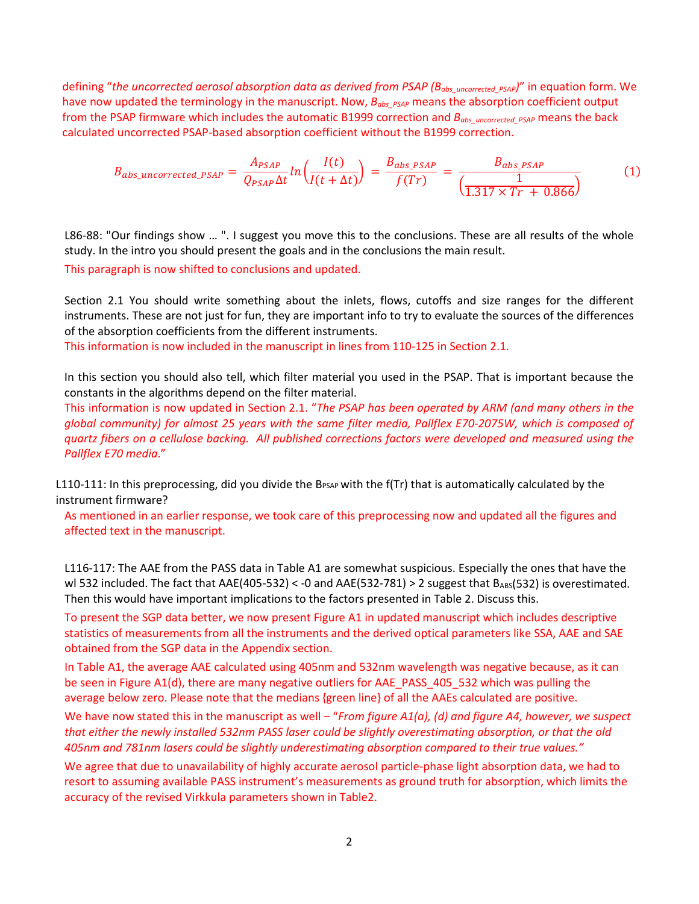defining "*the uncorrected aerosol absorption data as derived from PSAP (Babs\_uncorrected\_PSAP)*" in equation form. We have now updated the terminology in the manuscript. Now,  $B_{obs\ PS AP}$  means the absorption coefficient output from the PSAP firmware which includes the automatic B1999 correction and *Babs\_uncorrected\_PSAP* means the back calculated uncorrected PSAP-based absorption coefficient without the B1999 correction.

$$
B_{abs\_uncorrected\_PSAP} = \frac{A_{PSAP}}{Q_{PSAP}\Delta t} \ln \left( \frac{I(t)}{I(t+\Delta t)} \right) = \frac{B_{abs\_PSAP}}{f(Tr)} = \frac{B_{abs\_PSAP}}{\left( \frac{1}{1.317 \times Tr + 0.866} \right)} \tag{1}
$$

L86-88: "Our findings show ... ". I suggest you move this to the conclusions. These are all results of the whole study. In the intro you should present the goals and in the conclusions the main result.

This paragraph is now shifted to conclusions and updated.

Section 2.1 You should write something about the inlets, flows, cutoffs and size ranges for the different instruments. These are not just for fun, they are important info to try to evaluate the sources of the differences of the absorption coefficients from the different instruments.

This information is now included in the manuscript in lines from 110-125 in Section 2.1.

In this section you should also tell, which filter material you used in the PSAP. That is important because the constants in the algorithms depend on the filter material.

This information is now updated in Section 2.1. "*The PSAP has been operated by ARM (and many others in the global community) for almost 25 years with the same filter media, Pallflex E70-2075W, which is composed of quartz fibers on a cellulose backing. All published corrections factors were developed and measured using the Pallflex E70 media*."

L110-111: In this preprocessing, did you divide the B $_{\rm PSAP}$  with the f(Tr) that is automatically calculated by the instrument firmware?

As mentioned in an earlier response, we took care of this preprocessing now and updated all the figures and affected text in the manuscript.

L116-117: The AAE from the PASS data in Table A1 are somewhat suspicious. Especially the ones that have the wl 532 included. The fact that  $AAE(405-532) < -0$  and  $AAE(532-781) > 2$  suggest that  $B_{ABS}(532)$  is overestimated. Then this would have important implications to the factors presented in Table 2. Discuss this.

To present the SGP data better, we now present Figure A1 in updated manuscript which includes descriptive statistics of measurements from all the instruments and the derived optical parameters like SSA, AAE and SAE obtained from the SGP data in the Appendix section.

In Table A1, the average AAE calculated using 405nm and 532nm wavelength was negative because, as it can be seen in Figure A1(d), there are many negative outliers for AAE\_PASS\_405\_532 which was pulling the average below zero. Please note that the medians {green line} of all the AAEs calculated are positive.

We have now stated this in the manuscript as well – "*From figure A1(a), (d) and figure A4, however, we suspect that either the newly installed 532nm PASS laser could be slightly overestimating absorption, or that the old 405nm and 781nm lasers could be slightly underestimating absorption compared to their true values."*

We agree that due to unavailability of highly accurate aerosol particle-phase light absorption data, we had to resort to assuming available PASS instrument's measurements as ground truth for absorption, which limits the accuracy of the revised Virkkula parameters shown in Table2.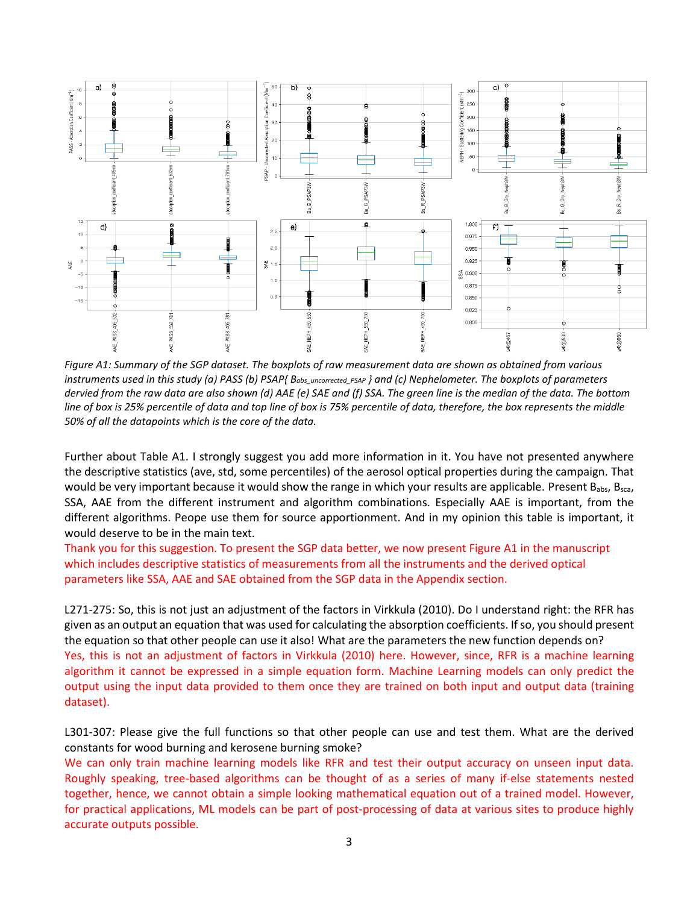

*Figure A1: Summary of the SGP dataset. The boxplots of raw measurement data are shown as obtained from various instruments used in this study (a) PASS (b) PSAP{ Babs\_uncorrected\_PSAP } and (c) Nephelometer. The boxplots of parameters dervied from the raw data are also shown (d) AAE (e) SAE and (f) SSA. The green line is the median of the data. The bottom line of box is 25% percentile of data and top line of box is 75% percentile of data, therefore, the box represents the middle 50% of all the datapoints which is the core of the data.*

Further about Table A1. I strongly suggest you add more information in it. You have not presented anywhere the descriptive statistics (ave, std, some percentiles) of the aerosol optical properties during the campaign. That would be very important because it would show the range in which your results are applicable. Present  $B_{abs}$ ,  $B_{sca}$ , SSA, AAE from the different instrument and algorithm combinations. Especially AAE is important, from the different algorithms. Peope use them for source apportionment. And in my opinion this table is important, it would deserve to be in the main text.

Thank you for this suggestion. To present the SGP data better, we now present Figure A1 in the manuscript which includes descriptive statistics of measurements from all the instruments and the derived optical parameters like SSA, AAE and SAE obtained from the SGP data in the Appendix section.

L271-275: So, this is not just an adjustment of the factors in Virkkula (2010). Do I understand right: the RFR has given as an output an equation that was used for calculating the absorption coefficients. If so, you should present the equation so that other people can use it also! What are the parameters the new function depends on? Yes, this is not an adjustment of factors in Virkkula (2010) here. However, since, RFR is a machine learning algorithm it cannot be expressed in a simple equation form. Machine Learning models can only predict the output using the input data provided to them once they are trained on both input and output data (training dataset).

L301-307: Please give the full functions so that other people can use and test them. What are the derived constants for wood burning and kerosene burning smoke?

We can only train machine learning models like RFR and test their output accuracy on unseen input data. Roughly speaking, tree-based algorithms can be thought of as a series of many if-else statements nested together, hence, we cannot obtain a simple looking mathematical equation out of a trained model. However, for practical applications, ML models can be part of post-processing of data at various sites to produce highly accurate outputs possible.